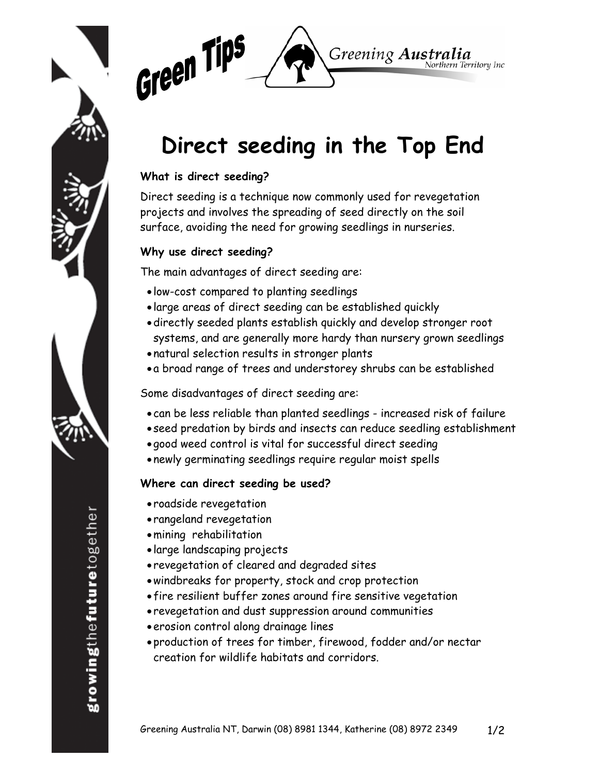



# **Direct seeding in the Top End**

#### **What is direct seeding?**

Direct seeding is a technique now commonly used for revegetation projects and involves the spreading of seed directly on the soil surface, avoiding the need for growing seedlings in nurseries.

#### **Why use direct seeding?**

The main advantages of direct seeding are:

- low-cost compared to planting seedlings
- large areas of direct seeding can be established quickly
- •directly seeded plants establish quickly and develop stronger root systems, and are generally more hardy than nursery grown seedlings
- natural selection results in stronger plants
- a broad range of trees and understorey shrubs can be established

Some disadvantages of direct seeding are:

- can be less reliable than planted seedlings increased risk of failure
- seed predation by birds and insects can reduce seedling establishment
- good weed control is vital for successful direct seeding
- newly germinating seedlings require regular moist spells

### **Where can direct seeding be used?**

- roadside revegetation
- rangeland revegetation
- •mining rehabilitation
- large landscaping projects
- revegetation of cleared and degraded sites
- •windbreaks for property, stock and crop protection
- fire resilient buffer zones around fire sensitive vegetation
- revegetation and dust suppression around communities
- •erosion control along drainage lines
- production of trees for timber, firewood, fodder and/or nectar creation for wildlife habitats and corridors.